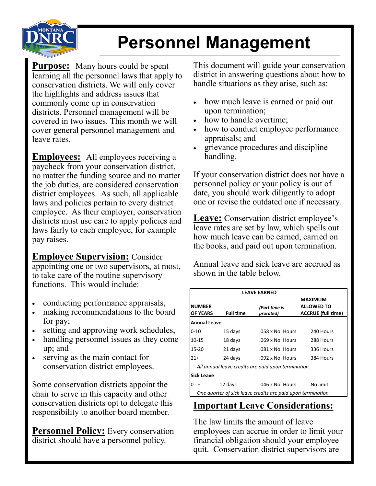

## **Personnel Management**

**Purpose:** Many hours could be spent learning all the personnel laws that apply to conservation districts. We will only cover the highlights and address issues that commonly come up in conservation districts. Personnel management will be covered in two issues. This month we will cover general personnel management and leave rates.

**Employees:** All employees receiving a paycheck from your conservation district, no matter the funding source and no matter the job duties, are considered conservation district employees. As such, all applicable laws and policies pertain to every district employee. As their employer, conservation districts must use care to apply policies and laws fairly to each employee, for example pay raises.

**Employee Supervision:** Consider appointing one or two supervisors, at most, to take care of the routine supervisory functions. This would include:

- conducting performance appraisals,
- making recommendations to the board for pay;
- setting and approving work schedules,
- handling personnel issues as they come up; and
- serving as the main contact for conservation district employees.

Some conservation districts appoint the chair to serve in this capacity and other conservation districts opt to delegate this responsibility to another board member.

**Personnel Policy:** Every conservation district should have a personnel policy.

This document will guide your conservation district in answering questions about how to handle situations as they arise, such as:

- how much leave is earned or paid out upon termination;
- how to handle overtime;
- how to conduct employee performance appraisals; and
- grievance procedures and discipline handling.

If your conservation district does not have a personnel policy or your policy is out of date, you should work diligently to adopt one or revise the outdated one if necessary.

**Leave:** Conservation district employee's leave rates are set by law, which spells out how much leave can be earned, carried on the books, and paid out upon termination.

Annual leave and sick leave are accrued as shown in the table below.

| <b>LEAVE EARNED</b>                                          |                  |                            |                                                                  |
|--------------------------------------------------------------|------------------|----------------------------|------------------------------------------------------------------|
| <b>NUMBER</b><br><b>OF YEARS</b>                             | <b>Full time</b> | (Part time is<br>prorated) | <b>MAXIMUM</b><br><b>ALLOWED TO</b><br><b>ACCRUE</b> (full time) |
| <b>Annual Leave</b>                                          |                  |                            |                                                                  |
| 0-10                                                         | 15 days          | .058 x No. Hours           | 240 Hours                                                        |
| $10 - 15$                                                    | 18 days          | .069 x No. Hours           | 288 Hours                                                        |
| $15 - 20$                                                    | 21 days          | .081 x No. Hours           | 336 Hours                                                        |
| $21+$                                                        | 24 days          | .092 x No. Hours           | 384 Hours                                                        |
| All annual leave credits are paid upon termination.          |                  |                            |                                                                  |
| lSick Leave                                                  |                  |                            |                                                                  |
| 0 - +                                                        | 12 days          | .046 x No. Hours           | No limit                                                         |
| One quarter of sick leave credits are paid upon termination. |                  |                            |                                                                  |

## **Important Leave Considerations:**

The law limits the amount of leave employees can accrue in order to limit your financial obligation should your employee quit. Conservation district supervisors are